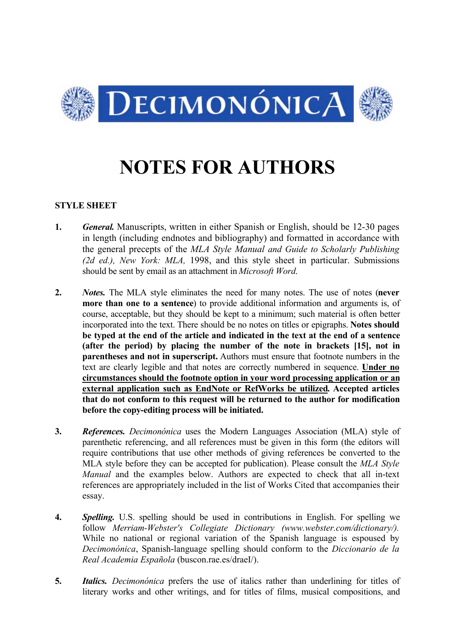

# **NOTES FOR AUTHORS**

## **STYLE SHEET**

- **1.** *General.* Manuscripts, written in either Spanish or English, should be 12-30 pages in length (including endnotes and bibliography) and formatted in accordance with the general precepts of the *MLA Style Manual and Guide to Scholarly Publishing (2d ed.), New York: MLA,* 1998, and this style sheet in particular. Submissions should be sent by email as an attachment in *Microsoft Word*.
- **2.** *Notes.* The MLA style eliminates the need for many notes. The use of notes (**never more than one to a sentence**) to provide additional information and arguments is, of course, acceptable, but they should be kept to a minimum; such material is often better incorporated into the text. There should be no notes on titles or epigraphs. **Notes should be typed at the end of the article and indicated in the text at the end of a sentence (after the period) by placing the number of the note in brackets [15], not in parentheses and not in superscript.** Authors must ensure that footnote numbers in the text are clearly legible and that notes are correctly numbered in sequence. **Under no circumstances should the footnote option in your word processing application or an external application such as EndNote or RefWorks be utilized. Accepted articles that do not conform to this request will be returned to the author for modification before the copy-editing process will be initiated.**
- **3.** *References. Decimonónica* uses the Modern Languages Association (MLA) style of parenthetic referencing, and all references must be given in this form (the editors will require contributions that use other methods of giving references be converted to the MLA style before they can be accepted for publication). Please consult the *MLA Style Manual* and the examples below. Authors are expected to check that all in-text references are appropriately included in the list of Works Cited that accompanies their essay.
- **4.** *Spelling.* U.S. spelling should be used in contributions in English. For spelling we follow *Merriam-Webster's Collegiate Dictionary (www.webster.com/dictionary/).* While no national or regional variation of the Spanish language is espoused by *Decimonónica*, Spanish-language spelling should conform to the *Diccionario de la Real Academia Española* (buscon.rae.es/draeI/).
- **5.** *Italics. Decimonónica* prefers the use of italics rather than underlining for titles of literary works and other writings, and for titles of films, musical compositions, and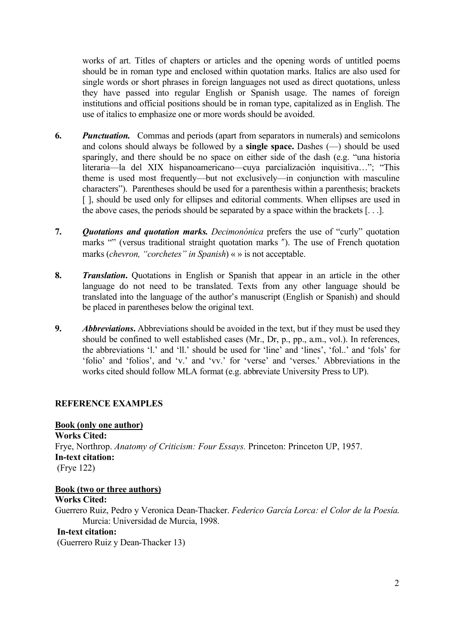works of art. Titles of chapters or articles and the opening words of untitled poems should be in roman type and enclosed within quotation marks. Italics are also used for single words or short phrases in foreign languages not used as direct quotations, unless they have passed into regular English or Spanish usage. The names of foreign institutions and official positions should be in roman type, capitalized as in English. The use of italics to emphasize one or more words should be avoided.

- **6.** *Punctuation.* Commas and periods (apart from separators in numerals) and semicolons and colons should always be followed by a **single space.** Dashes (—) should be used sparingly, and there should be no space on either side of the dash (e.g. "una historia literaria—la del XIX hispanoamericano—cuya parcialización inquisitiva…"; "This theme is used most frequently—but not exclusively—in conjunction with masculine characters"). Parentheses should be used for a parenthesis within a parenthesis; brackets [1, should be used only for ellipses and editorial comments. When ellipses are used in the above cases, the periods should be separated by a space within the brackets [. . .].
- **7.** *Quotations and quotation marks. Decimonónica* prefers the use of "curly" quotation marks "" (versus traditional straight quotation marks "). The use of French quotation marks (*chevron, "corchetes" in Spanish*) « » is not acceptable.
- **8.** *Translation.* Quotations in English or Spanish that appear in an article in the other language do not need to be translated. Texts from any other language should be translated into the language of the author's manuscript (English or Spanish) and should be placed in parentheses below the original text.
- **9.** *Abbreviations***.** Abbreviations should be avoided in the text, but if they must be used they should be confined to well established cases (Mr., Dr, p., pp., a.m., vol.). In references, the abbreviations 'l.' and 'll.' should be used for 'line' and 'lines', 'fol..' and 'fols' for 'folio' and 'folios', and 'v.' and 'vv.' for 'verse' and 'verses.' Abbreviations in the works cited should follow MLA format (e.g. abbreviate University Press to UP).

## **REFERENCE EXAMPLES**

## **Book (only one author)**

**Works Cited:**

Frye, Northrop. *Anatomy of Criticism: Four Essays.* Princeton: Princeton UP, 1957. **In-text citation:** (Frye 122)

## **Book (two or three authors)**

**Works Cited:**

Guerrero Ruiz, Pedro y Veronica Dean-Thacker. *Federico García Lorca: el Color de la Poesía*. Murcia: Universidad de Murcia, 1998.

## **In-text citation:**

(Guerrero Ruiz y Dean-Thacker 13)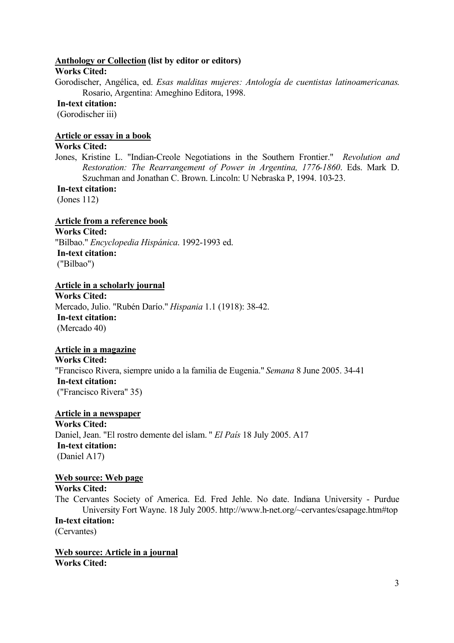#### **Anthology or Collection (list by editor or editors)**

#### **Works Cited:**

Gorodischer, Angélica, ed. *Esas malditas mujeres: Antología de cuentistas latinoamericanas*. Rosario, Argentina: Ameghino Editora, 1998.

# **In-text citation:**

(Gorodischer iii)

## **Article or essay in a book**

## **Works Cited:**

Jones, Kristine L. "Indian-Creole Negotiations in the Southern Frontier." *Revolution and Restoration: The Rearrangement of Power in Argentina, 1776-1860*. Eds. Mark D. Szuchman and Jonathan C. Brown. Lincoln: U Nebraska P, 1994. 103-23.

#### **In-text citation:**

(Jones 112)

#### **Article from a reference book**

**Works Cited:** "Bilbao." *Encyclopedia Hispánica*. 1992-1993 ed.  **In-text citation:** ("Bilbao")

## **Article in a scholarly journal**

**Works Cited:** Mercado, Julio. "Rubén Darío." *Hispania* 1.1 (1918): 38-42.  **In-text citation:** (Mercado 40)

#### **Article in a magazine**

**Works Cited:** "Francisco Rivera, siempre unido a la familia de Eugenia." *Semana* 8 June 2005. 34-41  **In-text citation:** ("Francisco Rivera" 35)

## **Article in a newspaper**

**Works Cited:** Daniel, Jean. "El rostro demente del islam. " *El País* 18 July 2005. A17  **In-text citation:** (Daniel A17)

#### **Web source: Web page**

## **Works Cited:**

The Cervantes Society of America. Ed. Fred Jehle. No date. Indiana University - Purdue University Fort Wayne. 18 July 2005. http://www.h-net.org/~cervantes/csapage.htm#top **In-text citation:** (Cervantes)

**Web source: Article in a journal Works Cited:**